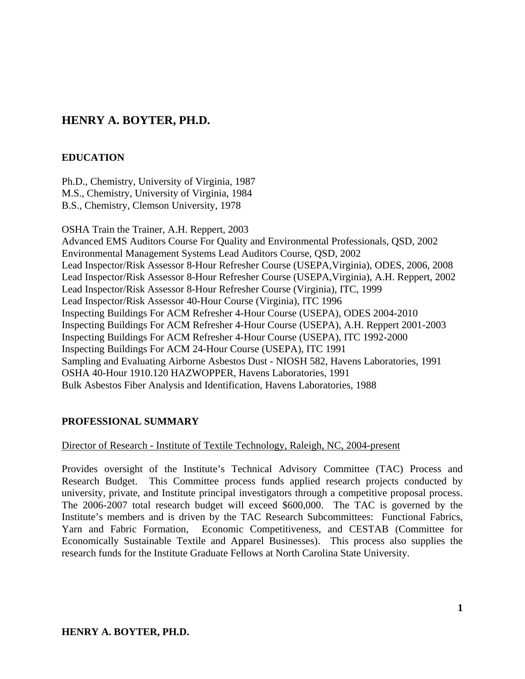# **HENRY A. BOYTER, PH.D.**

# **EDUCATION**

Ph.D., Chemistry, University of Virginia, 1987 M.S., Chemistry, University of Virginia, 1984 B.S., Chemistry, Clemson University, 1978

OSHA Train the Trainer, A.H. Reppert, 2003 Advanced EMS Auditors Course For Quality and Environmental Professionals, QSD, 2002 Environmental Management Systems Lead Auditors Course, QSD, 2002 Lead Inspector/Risk Assessor 8-Hour Refresher Course (USEPA,Virginia), ODES, 2006, 2008 Lead Inspector/Risk Assessor 8-Hour Refresher Course (USEPA,Virginia), A.H. Reppert, 2002 Lead Inspector/Risk Assessor 8-Hour Refresher Course (Virginia), ITC, 1999 Lead Inspector/Risk Assessor 40-Hour Course (Virginia), ITC 1996 Inspecting Buildings For ACM Refresher 4-Hour Course (USEPA), ODES 2004-2010 Inspecting Buildings For ACM Refresher 4-Hour Course (USEPA), A.H. Reppert 2001-2003 Inspecting Buildings For ACM Refresher 4-Hour Course (USEPA), ITC 1992-2000 Inspecting Buildings For ACM 24-Hour Course (USEPA), ITC 1991 Sampling and Evaluating Airborne Asbestos Dust - NIOSH 582, Havens Laboratories, 1991 OSHA 40-Hour 1910.120 HAZWOPPER, Havens Laboratories, 1991 Bulk Asbestos Fiber Analysis and Identification, Havens Laboratories, 1988

# **PROFESSIONAL SUMMARY**

#### Director of Research - Institute of Textile Technology, Raleigh, NC, 2004-present

Provides oversight of the Institute's Technical Advisory Committee (TAC) Process and Research Budget. This Committee process funds applied research projects conducted by university, private, and Institute principal investigators through a competitive proposal process. The 2006-2007 total research budget will exceed \$600,000. The TAC is governed by the Institute's members and is driven by the TAC Research Subcommittees: Functional Fabrics, Yarn and Fabric Formation, Economic Competitiveness, and CESTAB (Committee for Economically Sustainable Textile and Apparel Businesses). This process also supplies the research funds for the Institute Graduate Fellows at North Carolina State University.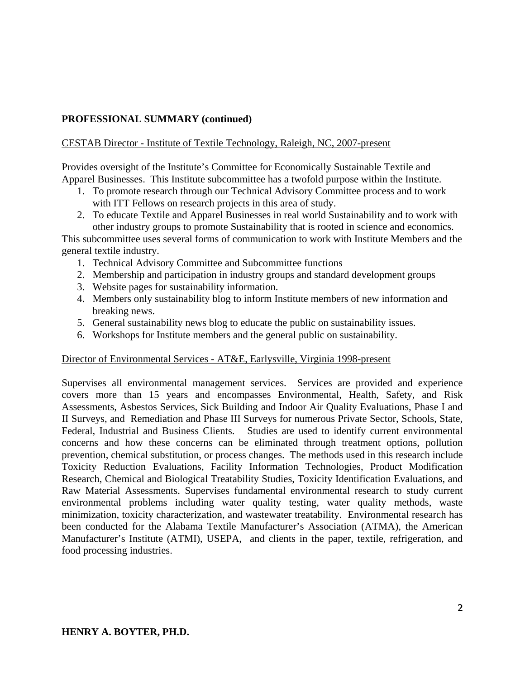# CESTAB Director - Institute of Textile Technology, Raleigh, NC, 2007-present

Provides oversight of the Institute's Committee for Economically Sustainable Textile and Apparel Businesses. This Institute subcommittee has a twofold purpose within the Institute.

- 1. To promote research through our Technical Advisory Committee process and to work with ITT Fellows on research projects in this area of study.
- 2. To educate Textile and Apparel Businesses in real world Sustainability and to work with other industry groups to promote Sustainability that is rooted in science and economics.

This subcommittee uses several forms of communication to work with Institute Members and the general textile industry.

- 1. Technical Advisory Committee and Subcommittee functions
- 2. Membership and participation in industry groups and standard development groups
- 3. Website pages for sustainability information.
- 4. Members only sustainability blog to inform Institute members of new information and breaking news.
- 5. General sustainability news blog to educate the public on sustainability issues.
- 6. Workshops for Institute members and the general public on sustainability.

#### Director of Environmental Services - AT&E, Earlysville, Virginia 1998-present

Supervises all environmental management services. Services are provided and experience covers more than 15 years and encompasses Environmental, Health, Safety, and Risk Assessments, Asbestos Services, Sick Building and Indoor Air Quality Evaluations, Phase I and II Surveys, and Remediation and Phase III Surveys for numerous Private Sector, Schools, State, Federal, Industrial and Business Clients. Studies are used to identify current environmental concerns and how these concerns can be eliminated through treatment options, pollution prevention, chemical substitution, or process changes. The methods used in this research include Toxicity Reduction Evaluations, Facility Information Technologies, Product Modification Research, Chemical and Biological Treatability Studies, Toxicity Identification Evaluations, and Raw Material Assessments. Supervises fundamental environmental research to study current environmental problems including water quality testing, water quality methods, waste minimization, toxicity characterization, and wastewater treatability. Environmental research has been conducted for the Alabama Textile Manufacturer's Association (ATMA), the American Manufacturer's Institute (ATMI), USEPA, and clients in the paper, textile, refrigeration, and food processing industries.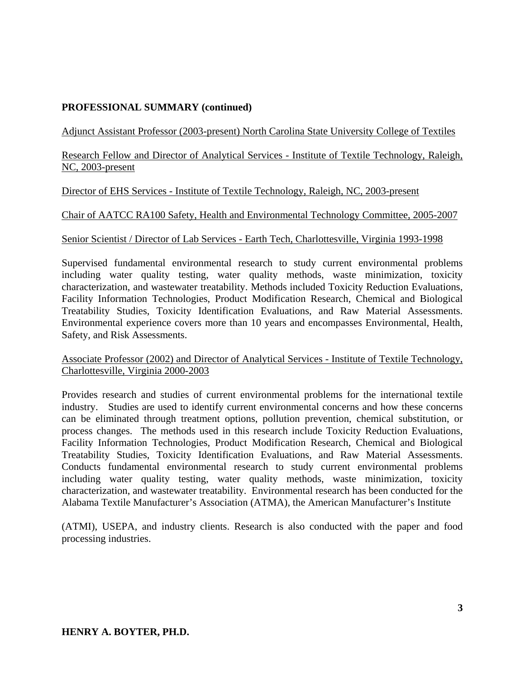Adjunct Assistant Professor (2003-present) North Carolina State University College of Textiles

Research Fellow and Director of Analytical Services - Institute of Textile Technology, Raleigh, NC, 2003-present

### Director of EHS Services - Institute of Textile Technology, Raleigh, NC, 2003-present

### Chair of AATCC RA100 Safety, Health and Environmental Technology Committee, 2005-2007

### Senior Scientist / Director of Lab Services - Earth Tech, Charlottesville, Virginia 1993-1998

Supervised fundamental environmental research to study current environmental problems including water quality testing, water quality methods, waste minimization, toxicity characterization, and wastewater treatability. Methods included Toxicity Reduction Evaluations, Facility Information Technologies, Product Modification Research, Chemical and Biological Treatability Studies, Toxicity Identification Evaluations, and Raw Material Assessments. Environmental experience covers more than 10 years and encompasses Environmental, Health, Safety, and Risk Assessments.

#### Associate Professor (2002) and Director of Analytical Services - Institute of Textile Technology, Charlottesville, Virginia 2000-2003

Provides research and studies of current environmental problems for the international textile industry. Studies are used to identify current environmental concerns and how these concerns can be eliminated through treatment options, pollution prevention, chemical substitution, or process changes. The methods used in this research include Toxicity Reduction Evaluations, Facility Information Technologies, Product Modification Research, Chemical and Biological Treatability Studies, Toxicity Identification Evaluations, and Raw Material Assessments. Conducts fundamental environmental research to study current environmental problems including water quality testing, water quality methods, waste minimization, toxicity characterization, and wastewater treatability. Environmental research has been conducted for the Alabama Textile Manufacturer's Association (ATMA), the American Manufacturer's Institute

(ATMI), USEPA, and industry clients. Research is also conducted with the paper and food processing industries.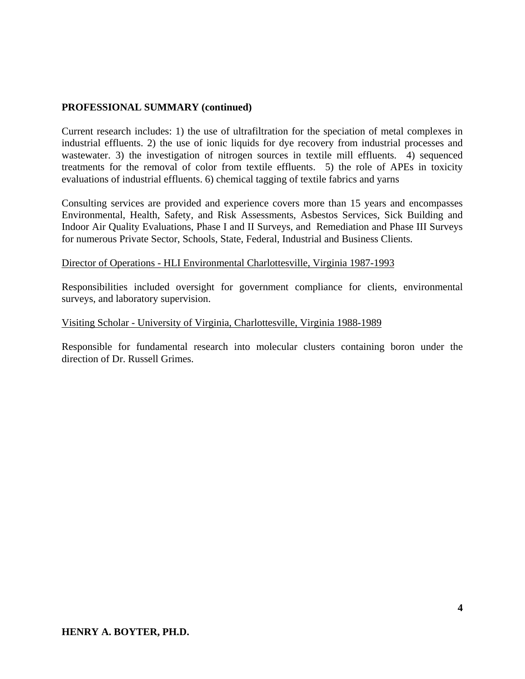Current research includes: 1) the use of ultrafiltration for the speciation of metal complexes in industrial effluents. 2) the use of ionic liquids for dye recovery from industrial processes and wastewater. 3) the investigation of nitrogen sources in textile mill effluents. 4) sequenced treatments for the removal of color from textile effluents. 5) the role of APEs in toxicity evaluations of industrial effluents. 6) chemical tagging of textile fabrics and yarns

Consulting services are provided and experience covers more than 15 years and encompasses Environmental, Health, Safety, and Risk Assessments, Asbestos Services, Sick Building and Indoor Air Quality Evaluations, Phase I and II Surveys, and Remediation and Phase III Surveys for numerous Private Sector, Schools, State, Federal, Industrial and Business Clients.

#### Director of Operations - HLI Environmental Charlottesville, Virginia 1987-1993

Responsibilities included oversight for government compliance for clients, environmental surveys, and laboratory supervision.

#### Visiting Scholar - University of Virginia, Charlottesville, Virginia 1988-1989

Responsible for fundamental research into molecular clusters containing boron under the direction of Dr. Russell Grimes.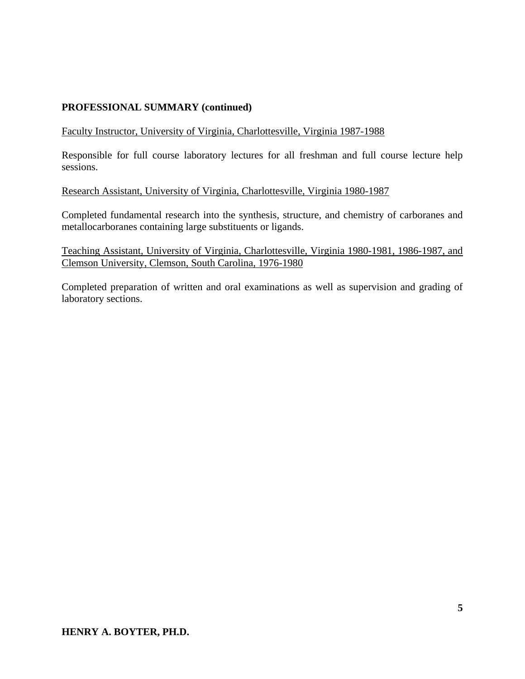#### Faculty Instructor, University of Virginia, Charlottesville, Virginia 1987-1988

Responsible for full course laboratory lectures for all freshman and full course lecture help sessions.

#### Research Assistant, University of Virginia, Charlottesville, Virginia 1980-1987

Completed fundamental research into the synthesis, structure, and chemistry of carboranes and metallocarboranes containing large substituents or ligands.

Teaching Assistant, University of Virginia, Charlottesville, Virginia 1980-1981, 1986-1987, and Clemson University, Clemson, South Carolina, 1976-1980

Completed preparation of written and oral examinations as well as supervision and grading of laboratory sections.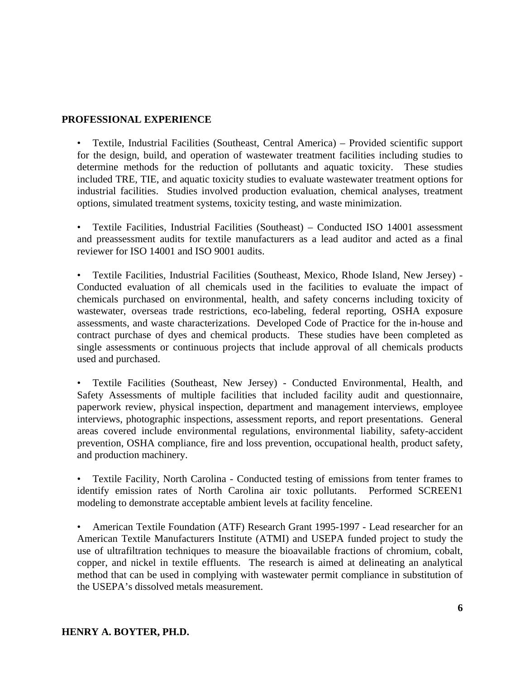#### **PROFESSIONAL EXPERIENCE**

• Textile, Industrial Facilities (Southeast, Central America) – Provided scientific support for the design, build, and operation of wastewater treatment facilities including studies to determine methods for the reduction of pollutants and aquatic toxicity. These studies included TRE, TIE, and aquatic toxicity studies to evaluate wastewater treatment options for industrial facilities. Studies involved production evaluation, chemical analyses, treatment options, simulated treatment systems, toxicity testing, and waste minimization.

• Textile Facilities, Industrial Facilities (Southeast) – Conducted ISO 14001 assessment and preassessment audits for textile manufacturers as a lead auditor and acted as a final reviewer for ISO 14001 and ISO 9001 audits.

• Textile Facilities, Industrial Facilities (Southeast, Mexico, Rhode Island, New Jersey) - Conducted evaluation of all chemicals used in the facilities to evaluate the impact of chemicals purchased on environmental, health, and safety concerns including toxicity of wastewater, overseas trade restrictions, eco-labeling, federal reporting, OSHA exposure assessments, and waste characterizations. Developed Code of Practice for the in-house and contract purchase of dyes and chemical products. These studies have been completed as single assessments or continuous projects that include approval of all chemicals products used and purchased.

• Textile Facilities (Southeast, New Jersey) - Conducted Environmental, Health, and Safety Assessments of multiple facilities that included facility audit and questionnaire, paperwork review, physical inspection, department and management interviews, employee interviews, photographic inspections, assessment reports, and report presentations. General areas covered include environmental regulations, environmental liability, safety-accident prevention, OSHA compliance, fire and loss prevention, occupational health, product safety, and production machinery.

• Textile Facility, North Carolina - Conducted testing of emissions from tenter frames to identify emission rates of North Carolina air toxic pollutants. Performed SCREEN1 modeling to demonstrate acceptable ambient levels at facility fenceline.

• American Textile Foundation (ATF) Research Grant 1995-1997 - Lead researcher for an American Textile Manufacturers Institute (ATMI) and USEPA funded project to study the use of ultrafiltration techniques to measure the bioavailable fractions of chromium, cobalt, copper, and nickel in textile effluents. The research is aimed at delineating an analytical method that can be used in complying with wastewater permit compliance in substitution of the USEPA's dissolved metals measurement.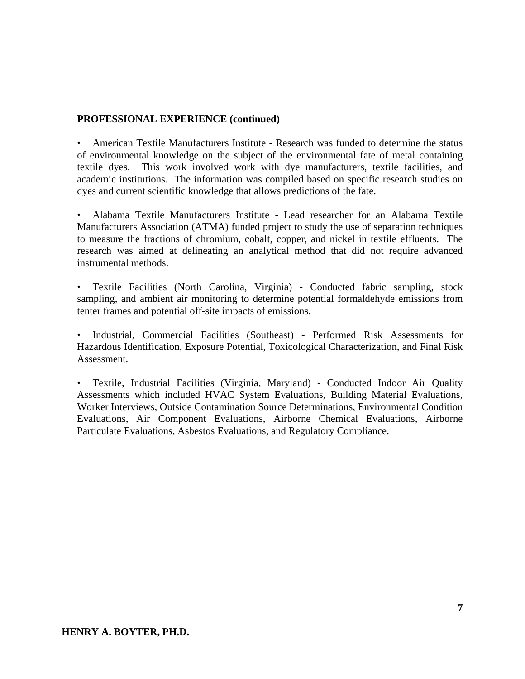# **PROFESSIONAL EXPERIENCE (continued)**

• American Textile Manufacturers Institute - Research was funded to determine the status of environmental knowledge on the subject of the environmental fate of metal containing textile dyes. This work involved work with dye manufacturers, textile facilities, and academic institutions. The information was compiled based on specific research studies on dyes and current scientific knowledge that allows predictions of the fate.

• Alabama Textile Manufacturers Institute - Lead researcher for an Alabama Textile Manufacturers Association (ATMA) funded project to study the use of separation techniques to measure the fractions of chromium, cobalt, copper, and nickel in textile effluents. The research was aimed at delineating an analytical method that did not require advanced instrumental methods.

• Textile Facilities (North Carolina, Virginia) - Conducted fabric sampling, stock sampling, and ambient air monitoring to determine potential formaldehyde emissions from tenter frames and potential off-site impacts of emissions.

• Industrial, Commercial Facilities (Southeast) - Performed Risk Assessments for Hazardous Identification, Exposure Potential, Toxicological Characterization, and Final Risk Assessment.

• Textile, Industrial Facilities (Virginia, Maryland) - Conducted Indoor Air Quality Assessments which included HVAC System Evaluations, Building Material Evaluations, Worker Interviews, Outside Contamination Source Determinations, Environmental Condition Evaluations, Air Component Evaluations, Airborne Chemical Evaluations, Airborne Particulate Evaluations, Asbestos Evaluations, and Regulatory Compliance.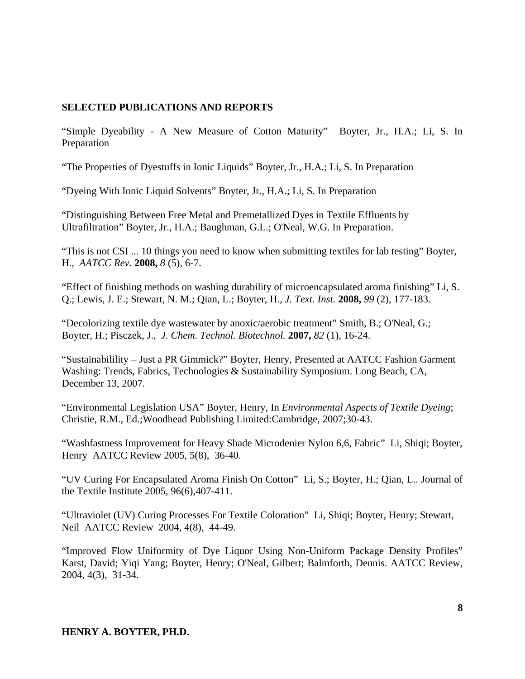# **SELECTED PUBLICATIONS AND REPORTS**

"Simple Dyeability - A New Measure of Cotton Maturity" Boyter, Jr., H.A.; Li, S. In Preparation

"The Properties of Dyestuffs in Ionic Liquids" Boyter, Jr., H.A.; Li, S. In Preparation

"Dyeing With Ionic Liquid Solvents" Boyter, Jr., H.A.; Li, S. In Preparation

"Distinguishing Between Free Metal and Premetallized Dyes in Textile Effluents by Ultrafiltration" Boyter, Jr., H.A.; Baughman, G.L.; O'Neal, W.G. In Preparation.

"This is not CSI ... 10 things you need to know when submitting textiles for lab testing" Boyter, H., *AATCC Rev.* **2008,** *8* (5), 6-7.

"Effect of finishing methods on washing durability of microencapsulated aroma finishing" Li, S. Q.; Lewis, J. E.; Stewart, N. M.; Qian, L.; Boyter, H., *J. Text. Inst.* **2008,** *99* (2), 177-183.

"Decolorizing textile dye wastewater by anoxic/aerobic treatment" Smith, B.; O'Neal, G.; Boyter, H.; Pisczek, J., *J. Chem. Technol. Biotechnol.* **2007,** *82* (1), 16-24.

"Sustainabilility – Just a PR Gimmick?" Boyter, Henry, Presented at AATCC Fashion Garment Washing: Trends, Fabrics, Technologies & Sustainability Symposium. Long Beach, CA, December 13, 2007.

"Environmental Legislation USA" Boyter, Henry, In *Environmental Aspects of Textile Dyeing*; Christie, R.M., Ed.;Woodhead Publishing Limited:Cambridge, 2007;30-43.

"Washfastness Improvement for Heavy Shade Microdenier Nylon 6,6, Fabric" Li, Shiqi; Boyter, Henry AATCC Review 2005, 5(8), 36-40.

"UV Curing For Encapsulated Aroma Finish On Cotton" Li, S.; Boyter, H.; Qian, L.. Journal of the Textile Institute 2005, 96(6),407-411.

"Ultraviolet (UV) Curing Processes For Textile Coloration" Li, Shiqi; Boyter, Henry; Stewart, Neil AATCC Review 2004, 4(8), 44-49.

"Improved Flow Uniformity of Dye Liquor Using Non-Uniform Package Density Profiles" Karst, David; Yiqi Yang; Boyter, Henry; O'Neal, Gilbert; Balmforth, Dennis. AATCC Review, 2004, 4(3), 31-34.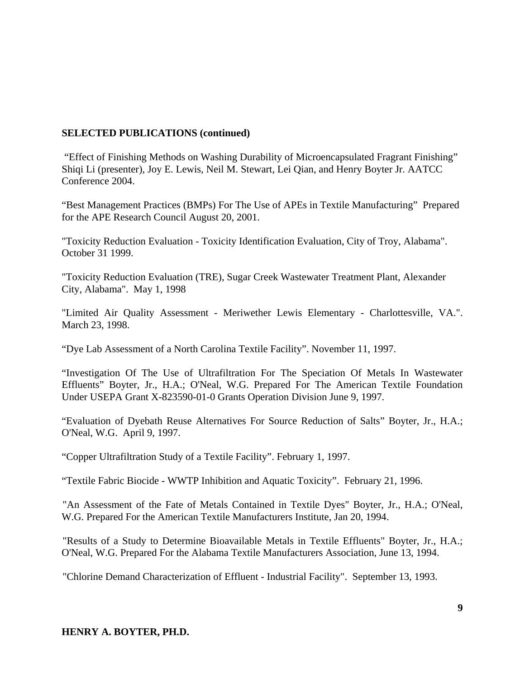### **SELECTED PUBLICATIONS (continued)**

 "Effect of Finishing Methods on Washing Durability of Microencapsulated Fragrant Finishing" Shiqi Li (presenter), Joy E. Lewis, Neil M. Stewart, Lei Qian, and Henry Boyter Jr. AATCC Conference 2004.

"Best Management Practices (BMPs) For The Use of APEs in Textile Manufacturing" Prepared for the APE Research Council August 20, 2001.

"Toxicity Reduction Evaluation - Toxicity Identification Evaluation, City of Troy, Alabama". October 31 1999.

"Toxicity Reduction Evaluation (TRE), Sugar Creek Wastewater Treatment Plant, Alexander City, Alabama". May 1, 1998

"Limited Air Quality Assessment - Meriwether Lewis Elementary - Charlottesville, VA.". March 23, 1998.

"Dye Lab Assessment of a North Carolina Textile Facility". November 11, 1997.

"Investigation Of The Use of Ultrafiltration For The Speciation Of Metals In Wastewater Effluents" Boyter, Jr., H.A.; O'Neal, W.G. Prepared For The American Textile Foundation Under USEPA Grant X-823590-01-0 Grants Operation Division June 9, 1997.

"Evaluation of Dyebath Reuse Alternatives For Source Reduction of Salts" Boyter, Jr., H.A.; O'Neal, W.G.April 9, 1997.

"Copper Ultrafiltration Study of a Textile Facility". February 1, 1997.

"Textile Fabric Biocide - WWTP Inhibition and Aquatic Toxicity". February 21, 1996.

"An Assessment of the Fate of Metals Contained in Textile Dyes" Boyter, Jr., H.A.; O'Neal, W.G. Prepared For the American Textile Manufacturers Institute, Jan 20, 1994.

"Results of a Study to Determine Bioavailable Metals in Textile Effluents" Boyter, Jr., H.A.; O'Neal, W.G. Prepared For the Alabama Textile Manufacturers Association, June 13, 1994.

"Chlorine Demand Characterization of Effluent - Industrial Facility". September 13, 1993.